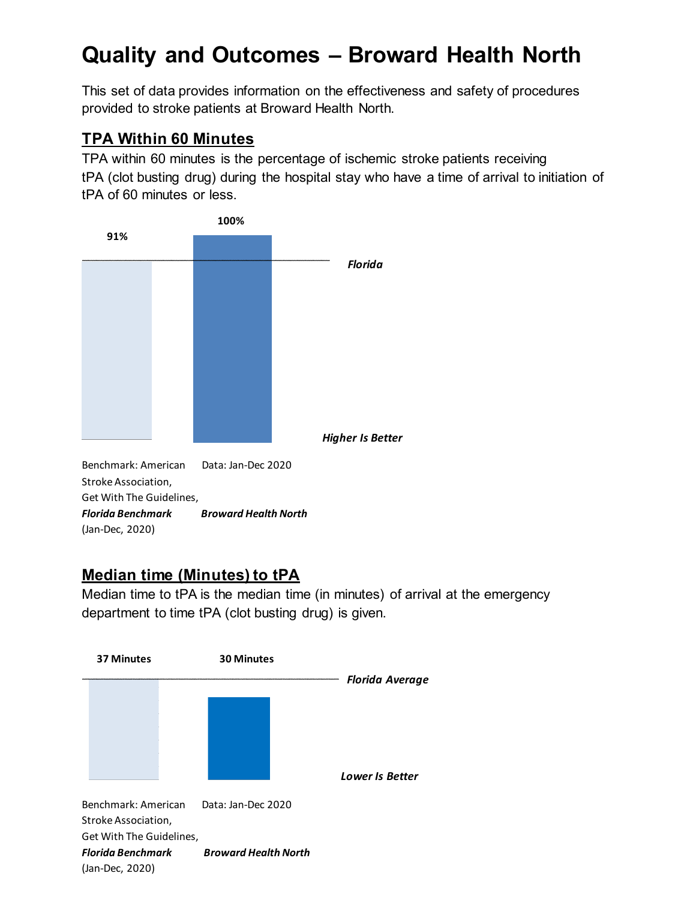# **Quality and Outcomes – Broward Health North**

This set of data provides information on the effectiveness and safety of procedures provided to stroke patients at Broward Health North.

#### **TPA Within 60 Minutes**

TPA within 60 minutes is the percentage of ischemic stroke patients receiving tPA (clot busting drug) during the hospital stay who have a time of arrival to initiation of tPA of 60 minutes or less.



Stroke Association, Get With The Guidelines, *Florida Benchmark Broward Health North* (Jan-Dec, 2020)

## **Median time (Minutes) to tPA**

Median time to tPA is the median time (in minutes) of arrival at the emergency department to time tPA (clot busting drug) is given.